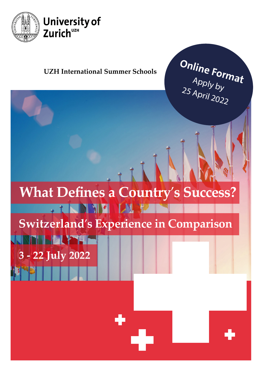

### **UZH International Summer Schools**

Online Format  $A$ pply  $b_y$ <sup>25</sup> April 2022

# **What Defines a Country**'**s Success?FINNELLA PARTIES**

# **Switzerland**'**s Experience in Comparison**

**3 - 22 July 2022**

**RISHIL LALYSE**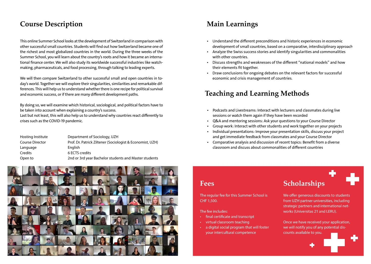### **Course Description Main Learnings**

This online Summer School looks at the development of Switzerland in comparison with other successful small countries. Students will find out how Switzerland became one of the richest and most globalized countries in the world. During the three weeks of the Summer School, you will learn about the country's roots and how it became an international finance center. We will also study its worldwide successful industries like watchmaking, pharmaceuticals, and food processing, through talking to leading experts.

We will then compare Switzerland to other successful small and open countries in today's world. Together we will explore their singularities, similarities and remarkable differences. This will help us to understand whether there is one recipe for political survival and economic success, or if there are many different development paths.

By doing so, we will examine which historical, sociological, and political factors have to be taken into account when explaining a country's success.

Last but not least, this will also help us to understand why countries react differently to crises such as the COVID-19 pandemic.

| Hosting Institute      | Department of Sociology, UZH                              |
|------------------------|-----------------------------------------------------------|
| <b>Course Director</b> | Prof. Dr. Patrick Ziltener (Sociologist & Economist, UZH) |
| Language               | <b>English</b>                                            |
| Credits                | 6 ECTS credits                                            |
| Open to                | 2nd or 3rd year Bachelor students and Master students     |



- Understand the different preconditions and historic experiences in economic development of small countries, based on a comparative, interdisciplinary approach.
- Analyze the Swiss success stories and identify singularities and commonalities with other countries.
- Discuss strengths and weaknesses of the different "national models" and how their elements fit together.
- Draw conclusions for ongoing debates on the relevant factors for successful economic and crisis management of countries.

## **Teaching and Learning Methods**

- Podcasts and Livestreams: Interact with lecturers and classmates during live sessions or watch them again if they have been recorded
- Q&A and mentoring sessions: Ask your questions to your Course Director
- Group work: Interact with other students and work together on your projects
- Individual presentations: Improve your presentation skills, discuss your project and get immediate feedback from classmates and your Course Director
- Comparative analysis and discussion of recent topics: Benefit from a diverse classroom and discuss about commonalities of different countries

### **Fees**

The regular fee for this Summer School is CHF 1,500.

The fee includes:

- final certificate and transcript
- virtual classroom teaching
- a digital social program that will foster your intercultural competence

# **Scholarships**

We offer generous discounts to students from UZH partner universities, including strategic partners and international networks (Universitas 21 and LERU).

Once we have received your application, we will notify you of any potential discounts available to you.